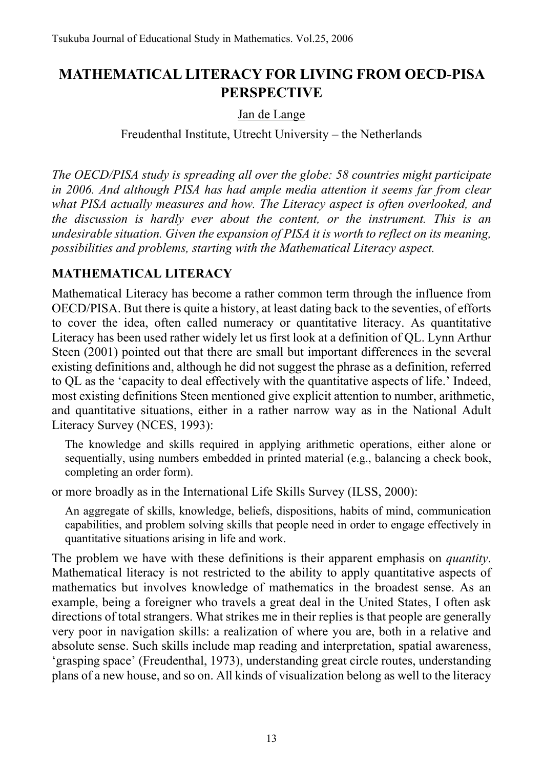# **MATHEMATICAL LITERACY FOR LIVING FROM OECD-PISA PERSPECTIVE**

### Jan de Lange

Freudenthal Institute, Utrecht University – the Netherlands

*The OECD/PISA study is spreading all over the globe: 58 countries might participate in 2006. And although PISA has had ample media attention it seems far from clear what PISA actually measures and how. The Literacy aspect is often overlooked, and the discussion is hardly ever about the content, or the instrument. This is an undesirable situation. Given the expansion of PISA it is worth to reflect on its meaning, possibilities and problems, starting with the Mathematical Literacy aspect.*

# **MATHEMATICAL LITERACY**

Mathematical Literacy has become a rather common term through the influence from OECD/PISA. But there is quite a history, at least dating back to the seventies, of efforts to cover the idea, often called numeracy or quantitative literacy. As quantitative Literacy has been used rather widely let us first look at a definition of QL. Lynn Arthur Steen (2001) pointed out that there are small but important differences in the several existing definitions and, although he did not suggest the phrase as a definition, referred to QL as the 'capacity to deal effectively with the quantitative aspects of life.' Indeed, most existing definitions Steen mentioned give explicit attention to number, arithmetic, and quantitative situations, either in a rather narrow way as in the National Adult Literacy Survey (NCES, 1993):

The knowledge and skills required in applying arithmetic operations, either alone or sequentially, using numbers embedded in printed material (e.g., balancing a check book, completing an order form).

or more broadly as in the International Life Skills Survey (ILSS, 2000):

An aggregate of skills, knowledge, beliefs, dispositions, habits of mind, communication capabilities, and problem solving skills that people need in order to engage effectively in quantitative situations arising in life and work.

The problem we have with these definitions is their apparent emphasis on *quantity*. Mathematical literacy is not restricted to the ability to apply quantitative aspects of mathematics but involves knowledge of mathematics in the broadest sense. As an example, being a foreigner who travels a great deal in the United States, I often ask directions of total strangers. What strikes me in their replies is that people are generally very poor in navigation skills: a realization of where you are, both in a relative and absolute sense. Such skills include map reading and interpretation, spatial awareness, 'grasping space' (Freudenthal, 1973), understanding great circle routes, understanding plans of a new house, and so on. All kinds of visualization belong as well to the literacy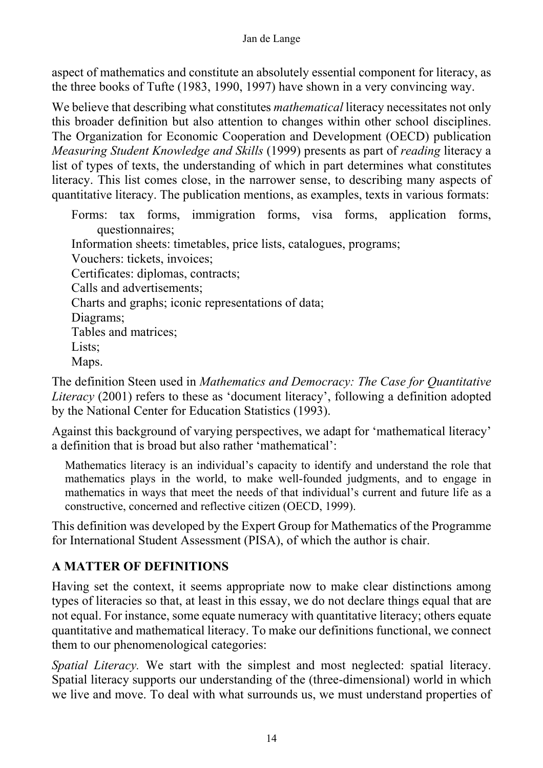aspect of mathematics and constitute an absolutely essential component for literacy, as the three books of Tufte (1983, 1990, 1997) have shown in a very convincing way.

We believe that describing what constitutes *mathematical* literacy necessitates not only this broader definition but also attention to changes within other school disciplines. The Organization for Economic Cooperation and Development (OECD) publication *Measuring Student Knowledge and Skills* (1999) presents as part of *reading* literacy a list of types of texts, the understanding of which in part determines what constitutes literacy. This list comes close, in the narrower sense, to describing many aspects of quantitative literacy. The publication mentions, as examples, texts in various formats:

Forms: tax forms, immigration forms, visa forms, application forms, questionnaires; Information sheets: timetables, price lists, catalogues, programs; Vouchers: tickets, invoices; Certificates: diplomas, contracts; Calls and advertisements; Charts and graphs; iconic representations of data; Diagrams; Tables and matrices; Lists: Maps.

The definition Steen used in *Mathematics and Democracy: The Case for Quantitative Literacy* (2001) refers to these as 'document literacy', following a definition adopted by the National Center for Education Statistics (1993).

Against this background of varying perspectives, we adapt for 'mathematical literacy' a definition that is broad but also rather 'mathematical':

Mathematics literacy is an individual's capacity to identify and understand the role that mathematics plays in the world, to make well-founded judgments, and to engage in mathematics in ways that meet the needs of that individual's current and future life as a constructive, concerned and reflective citizen (OECD, 1999).

This definition was developed by the Expert Group for Mathematics of the Programme for International Student Assessment (PISA), of which the author is chair.

# **A MATTER OF DEFINITIONS**

Having set the context, it seems appropriate now to make clear distinctions among types of literacies so that, at least in this essay, we do not declare things equal that are not equal. For instance, some equate numeracy with quantitative literacy; others equate quantitative and mathematical literacy. To make our definitions functional, we connect them to our phenomenological categories:

*Spatial Literacy.* We start with the simplest and most neglected: spatial literacy. Spatial literacy supports our understanding of the (three-dimensional) world in which we live and move. To deal with what surrounds us, we must understand properties of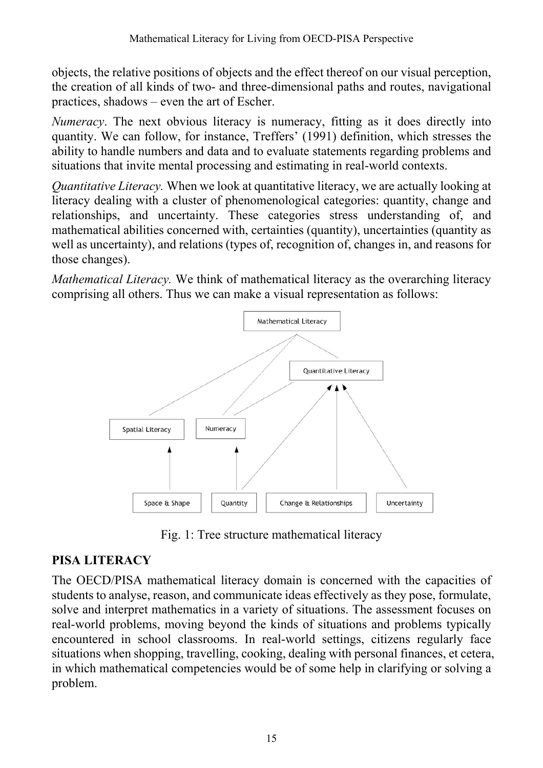objects, the relative positions of objects and the effect thereof on our visual perception, the creation of all kinds of two- and three-dimensional paths and routes, navigational practices, shadows – even the art of Escher.

*Numeracy*. The next obvious literacy is numeracy, fitting as it does directly into quantity. We can follow, for instance, Treffers' (1991) definition, which stresses the ability to handle numbers and data and to evaluate statements regarding problems and situations that invite mental processing and estimating in real-world contexts.

*Quantitative Literacy.* When we look at quantitative literacy, we are actually looking at literacy dealing with a cluster of phenomenological categories: quantity, change and relationships, and uncertainty. These categories stress understanding of, and mathematical abilities concerned with, certainties (quantity), uncertainties (quantity as well as uncertainty), and relations (types of, recognition of, changes in, and reasons for those changes).

*Mathematical Literacy.* We think of mathematical literacy as the overarching literacy comprising all others. Thus we can make a visual representation as follows:



Fig. 1: Tree structure mathematical literacy

## **PISA LITERACY**

The OECD/PISA mathematical literacy domain is concerned with the capacities of students to analyse, reason, and communicate ideas effectively as they pose, formulate, solve and interpret mathematics in a variety of situations. The assessment focuses on real-world problems, moving beyond the kinds of situations and problems typically encountered in school classrooms. In real-world settings, citizens regularly face situations when shopping, travelling, cooking, dealing with personal finances, et cetera, in which mathematical competencies would be of some help in clarifying or solving a problem.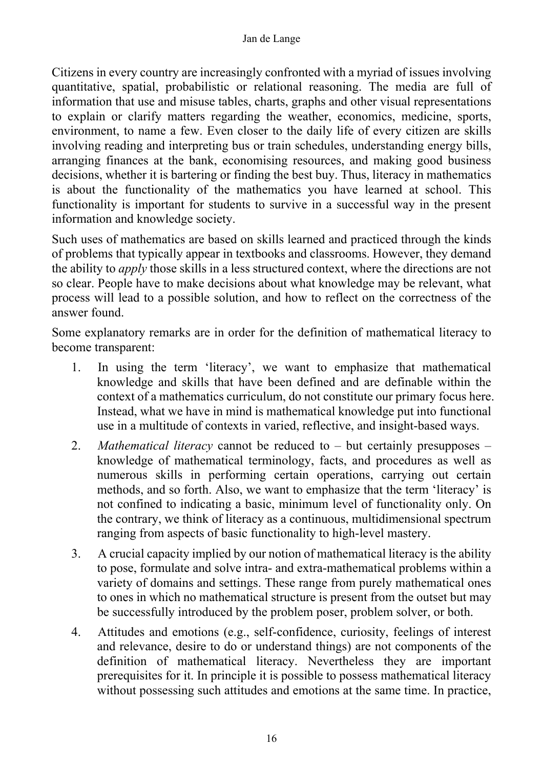Citizens in every country are increasingly confronted with a myriad of issues involving quantitative, spatial, probabilistic or relational reasoning. The media are full of information that use and misuse tables, charts, graphs and other visual representations to explain or clarify matters regarding the weather, economics, medicine, sports, environment, to name a few. Even closer to the daily life of every citizen are skills involving reading and interpreting bus or train schedules, understanding energy bills, arranging finances at the bank, economising resources, and making good business decisions, whether it is bartering or finding the best buy. Thus, literacy in mathematics is about the functionality of the mathematics you have learned at school. This functionality is important for students to survive in a successful way in the present information and knowledge society.

Such uses of mathematics are based on skills learned and practiced through the kinds of problems that typically appear in textbooks and classrooms. However, they demand the ability to *apply* those skills in a less structured context, where the directions are not so clear. People have to make decisions about what knowledge may be relevant, what process will lead to a possible solution, and how to reflect on the correctness of the answer found.

Some explanatory remarks are in order for the definition of mathematical literacy to become transparent:

- 1. In using the term 'literacy', we want to emphasize that mathematical knowledge and skills that have been defined and are definable within the context of a mathematics curriculum, do not constitute our primary focus here. Instead, what we have in mind is mathematical knowledge put into functional use in a multitude of contexts in varied, reflective, and insight-based ways.
- 2. *Mathematical literacy* cannot be reduced to but certainly presupposes knowledge of mathematical terminology, facts, and procedures as well as numerous skills in performing certain operations, carrying out certain methods, and so forth. Also, we want to emphasize that the term 'literacy' is not confined to indicating a basic, minimum level of functionality only. On the contrary, we think of literacy as a continuous, multidimensional spectrum ranging from aspects of basic functionality to high-level mastery.
- 3. A crucial capacity implied by our notion of mathematical literacy is the ability to pose, formulate and solve intra- and extra-mathematical problems within a variety of domains and settings. These range from purely mathematical ones to ones in which no mathematical structure is present from the outset but may be successfully introduced by the problem poser, problem solver, or both.
- 4. Attitudes and emotions (e.g., self-confidence, curiosity, feelings of interest and relevance, desire to do or understand things) are not components of the definition of mathematical literacy. Nevertheless they are important prerequisites for it. In principle it is possible to possess mathematical literacy without possessing such attitudes and emotions at the same time. In practice,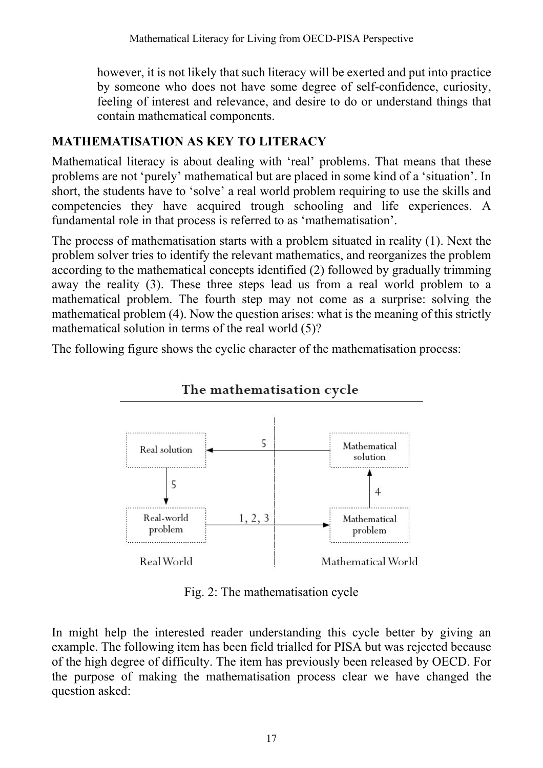however, it is not likely that such literacy will be exerted and put into practice by someone who does not have some degree of self-confidence, curiosity, feeling of interest and relevance, and desire to do or understand things that contain mathematical components.

# **MATHEMATISATION AS KEY TO LITERACY**

Mathematical literacy is about dealing with 'real' problems. That means that these problems are not 'purely' mathematical but are placed in some kind of a 'situation'. In short, the students have to 'solve' a real world problem requiring to use the skills and competencies they have acquired trough schooling and life experiences. A fundamental role in that process is referred to as 'mathematisation'.

The process of mathematisation starts with a problem situated in reality (1). Next the problem solver tries to identify the relevant mathematics, and reorganizes the problem according to the mathematical concepts identified (2) followed by gradually trimming away the reality (3). These three steps lead us from a real world problem to a mathematical problem. The fourth step may not come as a surprise: solving the mathematical problem (4). Now the question arises: what is the meaning of this strictly mathematical solution in terms of the real world (5)?

The following figure shows the cyclic character of the mathematisation process:



Fig. 2: The mathematisation cycle

In might help the interested reader understanding this cycle better by giving an example. The following item has been field trialled for PISA but was rejected because of the high degree of difficulty. The item has previously been released by OECD. For the purpose of making the mathematisation process clear we have changed the question asked: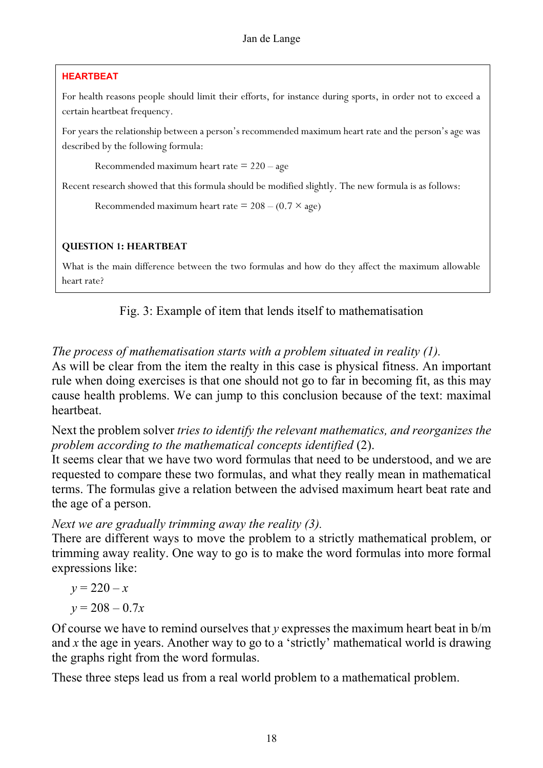#### **HEARTBEAT**

For health reasons people should limit their efforts, for instance during sports, in order not to exceed a certain heartbeat frequency.

For years the relationship between a person's recommended maximum heart rate and the person's age was described by the following formula:

Recommended maximum heart rate  $= 220 - age$ 

Recent research showed that this formula should be modified slightly. The new formula is as follows:

Recommended maximum heart rate  $= 208 - (0.7 \times \text{age})$ 

#### **QUESTION 1: HEARTBEAT**

What is the main difference between the two formulas and how do they affect the maximum allowable heart rate?

Fig. 3: Example of item that lends itself to mathematisation

*The process of mathematisation starts with a problem situated in reality (1).* 

As will be clear from the item the realty in this case is physical fitness. An important rule when doing exercises is that one should not go to far in becoming fit, as this may cause health problems. We can jump to this conclusion because of the text: maximal heartbeat.

Next the problem solver *tries to identify the relevant mathematics, and reorganizes the problem according to the mathematical concepts identified* (2).

It seems clear that we have two word formulas that need to be understood, and we are requested to compare these two formulas, and what they really mean in mathematical terms. The formulas give a relation between the advised maximum heart beat rate and the age of a person.

*Next we are gradually trimming away the reality (3).* 

There are different ways to move the problem to a strictly mathematical problem, or trimming away reality. One way to go is to make the word formulas into more formal expressions like:

$$
y = 220 - x
$$

$$
y = 208 - 0.7x
$$

Of course we have to remind ourselves that *y* expresses the maximum heart beat in b/m and *x* the age in years. Another way to go to a 'strictly' mathematical world is drawing the graphs right from the word formulas.

These three steps lead us from a real world problem to a mathematical problem.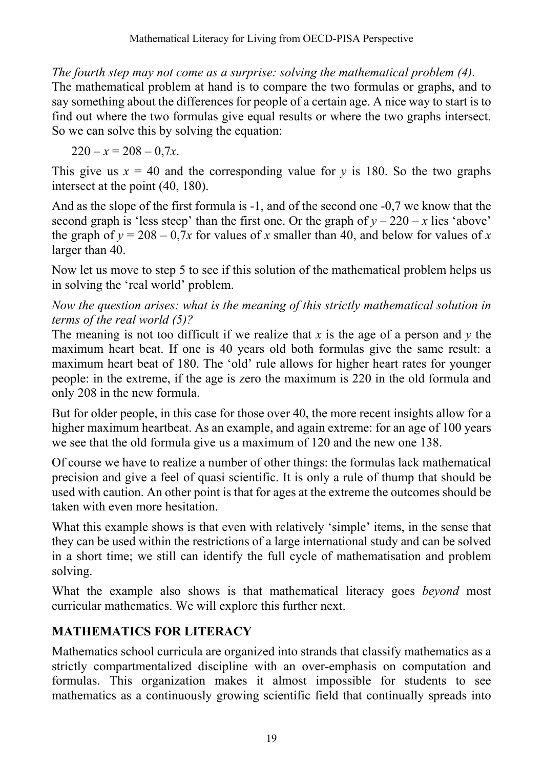*The fourth step may not come as a surprise: solving the mathematical problem (4).*  The mathematical problem at hand is to compare the two formulas or graphs, and to say something about the differences for people of a certain age. A nice way to start is to find out where the two formulas give equal results or where the two graphs intersect. So we can solve this by solving the equation:

 $220 - x = 208 - 0.7x$ .

This give us  $x = 40$  and the corresponding value for *y* is 180. So the two graphs intersect at the point (40, 180).

And as the slope of the first formula is -1, and of the second one -0,7 we know that the second graph is 'less steep' than the first one. Or the graph of  $y - 220 - x$  lies 'above' the graph of  $y = 208 - 0.7x$  for values of x smaller than 40, and below for values of x larger than 40.

Now let us move to step 5 to see if this solution of the mathematical problem helps us in solving the 'real world' problem.

*Now the question arises: what is the meaning of this strictly mathematical solution in terms of the real world (5)?* 

The meaning is not too difficult if we realize that *x* is the age of a person and *y* the maximum heart beat. If one is 40 years old both formulas give the same result: a maximum heart beat of 180. The 'old' rule allows for higher heart rates for younger people: in the extreme, if the age is zero the maximum is 220 in the old formula and only 208 in the new formula.

But for older people, in this case for those over 40, the more recent insights allow for a higher maximum heartbeat. As an example, and again extreme: for an age of 100 years we see that the old formula give us a maximum of 120 and the new one 138.

Of course we have to realize a number of other things: the formulas lack mathematical precision and give a feel of quasi scientific. It is only a rule of thump that should be used with caution. An other point is that for ages at the extreme the outcomes should be taken with even more hesitation.

What this example shows is that even with relatively 'simple' items, in the sense that they can be used within the restrictions of a large international study and can be solved in a short time; we still can identify the full cycle of mathematisation and problem solving.

What the example also shows is that mathematical literacy goes *beyond* most curricular mathematics. We will explore this further next.

# **MATHEMATICS FOR LITERACY**

Mathematics school curricula are organized into strands that classify mathematics as a strictly compartmentalized discipline with an over-emphasis on computation and formulas. This organization makes it almost impossible for students to see mathematics as a continuously growing scientific field that continually spreads into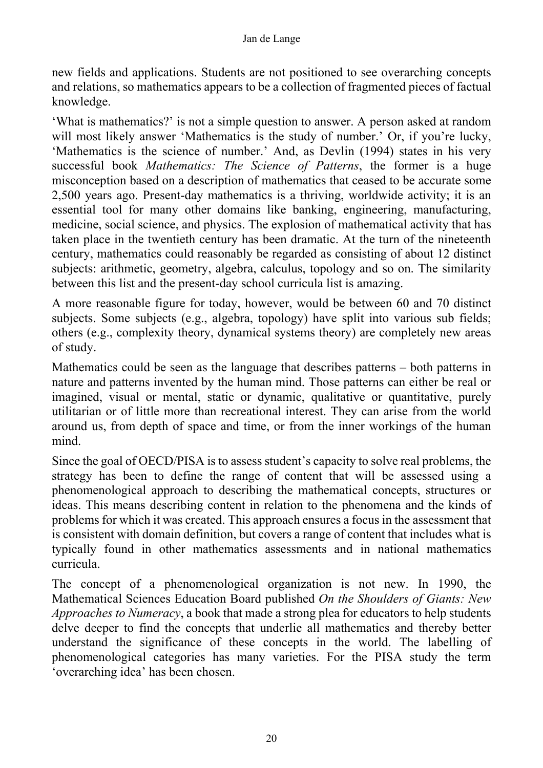new fields and applications. Students are not positioned to see overarching concepts and relations, so mathematics appears to be a collection of fragmented pieces of factual knowledge.

'What is mathematics?' is not a simple question to answer. A person asked at random will most likely answer 'Mathematics is the study of number.' Or, if you're lucky, 'Mathematics is the science of number.' And, as Devlin (1994) states in his very successful book *Mathematics: The Science of Patterns*, the former is a huge misconception based on a description of mathematics that ceased to be accurate some 2,500 years ago. Present-day mathematics is a thriving, worldwide activity; it is an essential tool for many other domains like banking, engineering, manufacturing, medicine, social science, and physics. The explosion of mathematical activity that has taken place in the twentieth century has been dramatic. At the turn of the nineteenth century, mathematics could reasonably be regarded as consisting of about 12 distinct subjects: arithmetic, geometry, algebra, calculus, topology and so on. The similarity between this list and the present-day school curricula list is amazing.

A more reasonable figure for today, however, would be between 60 and 70 distinct subjects. Some subjects (e.g., algebra, topology) have split into various sub fields; others (e.g., complexity theory, dynamical systems theory) are completely new areas of study.

Mathematics could be seen as the language that describes patterns – both patterns in nature and patterns invented by the human mind. Those patterns can either be real or imagined, visual or mental, static or dynamic, qualitative or quantitative, purely utilitarian or of little more than recreational interest. They can arise from the world around us, from depth of space and time, or from the inner workings of the human mind.

Since the goal of OECD/PISA is to assess student's capacity to solve real problems, the strategy has been to define the range of content that will be assessed using a phenomenological approach to describing the mathematical concepts, structures or ideas. This means describing content in relation to the phenomena and the kinds of problems for which it was created. This approach ensures a focus in the assessment that is consistent with domain definition, but covers a range of content that includes what is typically found in other mathematics assessments and in national mathematics curricula.

The concept of a phenomenological organization is not new. In 1990, the Mathematical Sciences Education Board published *On the Shoulders of Giants: New Approaches to Numeracy*, a book that made a strong plea for educators to help students delve deeper to find the concepts that underlie all mathematics and thereby better understand the significance of these concepts in the world. The labelling of phenomenological categories has many varieties. For the PISA study the term 'overarching idea' has been chosen.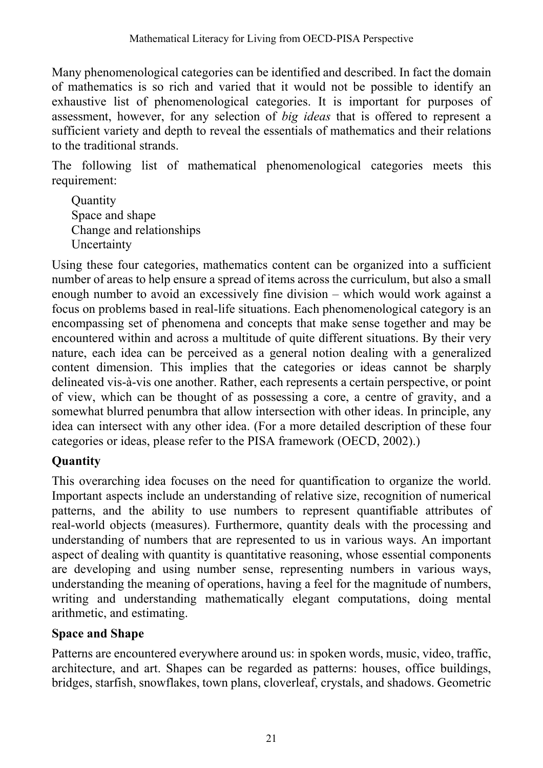Many phenomenological categories can be identified and described. In fact the domain of mathematics is so rich and varied that it would not be possible to identify an exhaustive list of phenomenological categories. It is important for purposes of assessment, however, for any selection of *big ideas* that is offered to represent a sufficient variety and depth to reveal the essentials of mathematics and their relations to the traditional strands.

The following list of mathematical phenomenological categories meets this requirement:

**Ouantity** Space and shape Change and relationships Uncertainty

Using these four categories, mathematics content can be organized into a sufficient number of areas to help ensure a spread of items across the curriculum, but also a small enough number to avoid an excessively fine division – which would work against a focus on problems based in real-life situations. Each phenomenological category is an encompassing set of phenomena and concepts that make sense together and may be encountered within and across a multitude of quite different situations. By their very nature, each idea can be perceived as a general notion dealing with a generalized content dimension. This implies that the categories or ideas cannot be sharply delineated vis-à-vis one another. Rather, each represents a certain perspective, or point of view, which can be thought of as possessing a core, a centre of gravity, and a somewhat blurred penumbra that allow intersection with other ideas. In principle, any idea can intersect with any other idea. (For a more detailed description of these four categories or ideas, please refer to the PISA framework (OECD, 2002).)

# **Quantity**

This overarching idea focuses on the need for quantification to organize the world. Important aspects include an understanding of relative size, recognition of numerical patterns, and the ability to use numbers to represent quantifiable attributes of real-world objects (measures). Furthermore, quantity deals with the processing and understanding of numbers that are represented to us in various ways. An important aspect of dealing with quantity is quantitative reasoning, whose essential components are developing and using number sense, representing numbers in various ways, understanding the meaning of operations, having a feel for the magnitude of numbers, writing and understanding mathematically elegant computations, doing mental arithmetic, and estimating.

## **Space and Shape**

Patterns are encountered everywhere around us: in spoken words, music, video, traffic, architecture, and art. Shapes can be regarded as patterns: houses, office buildings, bridges, starfish, snowflakes, town plans, cloverleaf, crystals, and shadows. Geometric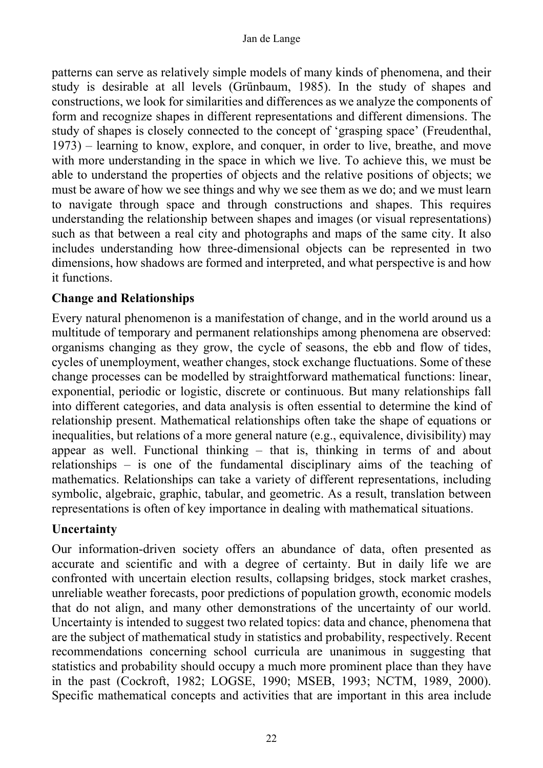patterns can serve as relatively simple models of many kinds of phenomena, and their study is desirable at all levels (Grünbaum, 1985). In the study of shapes and constructions, we look for similarities and differences as we analyze the components of form and recognize shapes in different representations and different dimensions. The study of shapes is closely connected to the concept of 'grasping space' (Freudenthal, 1973) – learning to know, explore, and conquer, in order to live, breathe, and move with more understanding in the space in which we live. To achieve this, we must be able to understand the properties of objects and the relative positions of objects; we must be aware of how we see things and why we see them as we do; and we must learn to navigate through space and through constructions and shapes. This requires understanding the relationship between shapes and images (or visual representations) such as that between a real city and photographs and maps of the same city. It also includes understanding how three-dimensional objects can be represented in two dimensions, how shadows are formed and interpreted, and what perspective is and how it functions.

### **Change and Relationships**

Every natural phenomenon is a manifestation of change, and in the world around us a multitude of temporary and permanent relationships among phenomena are observed: organisms changing as they grow, the cycle of seasons, the ebb and flow of tides, cycles of unemployment, weather changes, stock exchange fluctuations. Some of these change processes can be modelled by straightforward mathematical functions: linear, exponential, periodic or logistic, discrete or continuous. But many relationships fall into different categories, and data analysis is often essential to determine the kind of relationship present. Mathematical relationships often take the shape of equations or inequalities, but relations of a more general nature (e.g., equivalence, divisibility) may appear as well. Functional thinking – that is, thinking in terms of and about relationships – is one of the fundamental disciplinary aims of the teaching of mathematics. Relationships can take a variety of different representations, including symbolic, algebraic, graphic, tabular, and geometric. As a result, translation between representations is often of key importance in dealing with mathematical situations.

### **Uncertainty**

Our information-driven society offers an abundance of data, often presented as accurate and scientific and with a degree of certainty. But in daily life we are confronted with uncertain election results, collapsing bridges, stock market crashes, unreliable weather forecasts, poor predictions of population growth, economic models that do not align, and many other demonstrations of the uncertainty of our world. Uncertainty is intended to suggest two related topics: data and chance, phenomena that are the subject of mathematical study in statistics and probability, respectively. Recent recommendations concerning school curricula are unanimous in suggesting that statistics and probability should occupy a much more prominent place than they have in the past (Cockroft, 1982; LOGSE, 1990; MSEB, 1993; NCTM, 1989, 2000). Specific mathematical concepts and activities that are important in this area include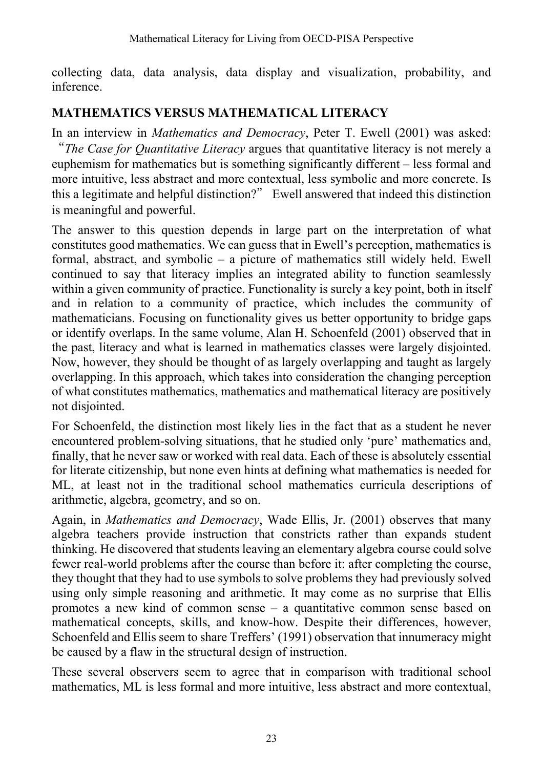collecting data, data analysis, data display and visualization, probability, and inference.

# **MATHEMATICS VERSUS MATHEMATICAL LITERACY**

In an interview in *Mathematics and Democracy*, Peter T. Ewell (2001) was asked:

"*The Case for Quantitative Literacy* argues that quantitative literacy is not merely a euphemism for mathematics but is something significantly different – less formal and more intuitive, less abstract and more contextual, less symbolic and more concrete. Is this a legitimate and helpful distinction?" Ewell answered that indeed this distinction is meaningful and powerful.

The answer to this question depends in large part on the interpretation of what constitutes good mathematics. We can guess that in Ewell's perception, mathematics is formal, abstract, and symbolic – a picture of mathematics still widely held. Ewell continued to say that literacy implies an integrated ability to function seamlessly within a given community of practice. Functionality is surely a key point, both in itself and in relation to a community of practice, which includes the community of mathematicians. Focusing on functionality gives us better opportunity to bridge gaps or identify overlaps. In the same volume, Alan H. Schoenfeld (2001) observed that in the past, literacy and what is learned in mathematics classes were largely disjointed. Now, however, they should be thought of as largely overlapping and taught as largely overlapping. In this approach, which takes into consideration the changing perception of what constitutes mathematics, mathematics and mathematical literacy are positively not disjointed.

For Schoenfeld, the distinction most likely lies in the fact that as a student he never encountered problem-solving situations, that he studied only 'pure' mathematics and, finally, that he never saw or worked with real data. Each of these is absolutely essential for literate citizenship, but none even hints at defining what mathematics is needed for ML, at least not in the traditional school mathematics curricula descriptions of arithmetic, algebra, geometry, and so on.

Again, in *Mathematics and Democracy*, Wade Ellis, Jr. (2001) observes that many algebra teachers provide instruction that constricts rather than expands student thinking. He discovered that students leaving an elementary algebra course could solve fewer real-world problems after the course than before it: after completing the course, they thought that they had to use symbols to solve problems they had previously solved using only simple reasoning and arithmetic. It may come as no surprise that Ellis promotes a new kind of common sense – a quantitative common sense based on mathematical concepts, skills, and know-how. Despite their differences, however, Schoenfeld and Ellis seem to share Treffers' (1991) observation that innumeracy might be caused by a flaw in the structural design of instruction.

These several observers seem to agree that in comparison with traditional school mathematics, ML is less formal and more intuitive, less abstract and more contextual,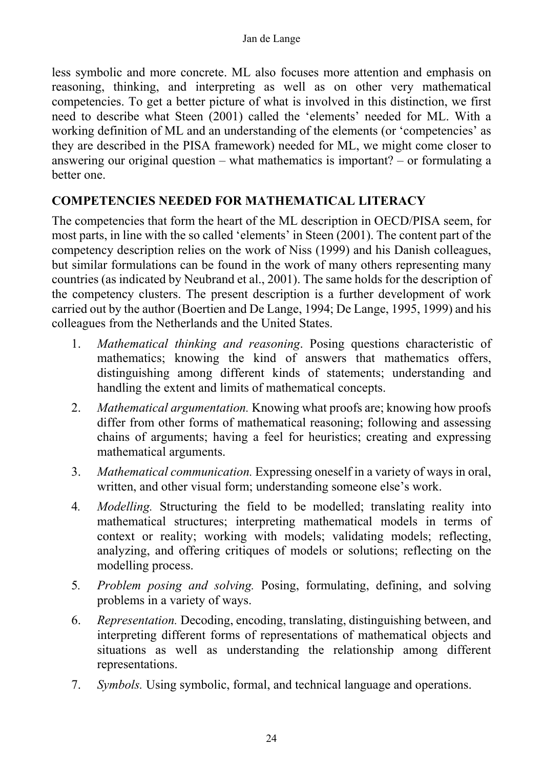less symbolic and more concrete. ML also focuses more attention and emphasis on reasoning, thinking, and interpreting as well as on other very mathematical competencies. To get a better picture of what is involved in this distinction, we first need to describe what Steen (2001) called the 'elements' needed for ML. With a working definition of ML and an understanding of the elements (or 'competencies' as they are described in the PISA framework) needed for ML, we might come closer to answering our original question – what mathematics is important? – or formulating a better one.

### **COMPETENCIES NEEDED FOR MATHEMATICAL LITERACY**

The competencies that form the heart of the ML description in OECD/PISA seem, for most parts, in line with the so called 'elements' in Steen (2001). The content part of the competency description relies on the work of Niss (1999) and his Danish colleagues, but similar formulations can be found in the work of many others representing many countries (as indicated by Neubrand et al., 2001). The same holds for the description of the competency clusters. The present description is a further development of work carried out by the author (Boertien and De Lange, 1994; De Lange, 1995, 1999) and his colleagues from the Netherlands and the United States.

- 1. *Mathematical thinking and reasoning*. Posing questions characteristic of mathematics; knowing the kind of answers that mathematics offers, distinguishing among different kinds of statements; understanding and handling the extent and limits of mathematical concepts.
- 2. *Mathematical argumentation.* Knowing what proofs are; knowing how proofs differ from other forms of mathematical reasoning; following and assessing chains of arguments; having a feel for heuristics; creating and expressing mathematical arguments.
- 3. *Mathematical communication.* Expressing oneself in a variety of ways in oral, written, and other visual form; understanding someone else's work.
- 4*. Modelling.* Structuring the field to be modelled; translating reality into mathematical structures; interpreting mathematical models in terms of context or reality; working with models; validating models; reflecting, analyzing, and offering critiques of models or solutions; reflecting on the modelling process.
- 5*. Problem posing and solving.* Posing, formulating, defining, and solving problems in a variety of ways.
- 6. *Representation.* Decoding, encoding, translating, distinguishing between, and interpreting different forms of representations of mathematical objects and situations as well as understanding the relationship among different representations.
- 7. *Symbols.* Using symbolic, formal, and technical language and operations.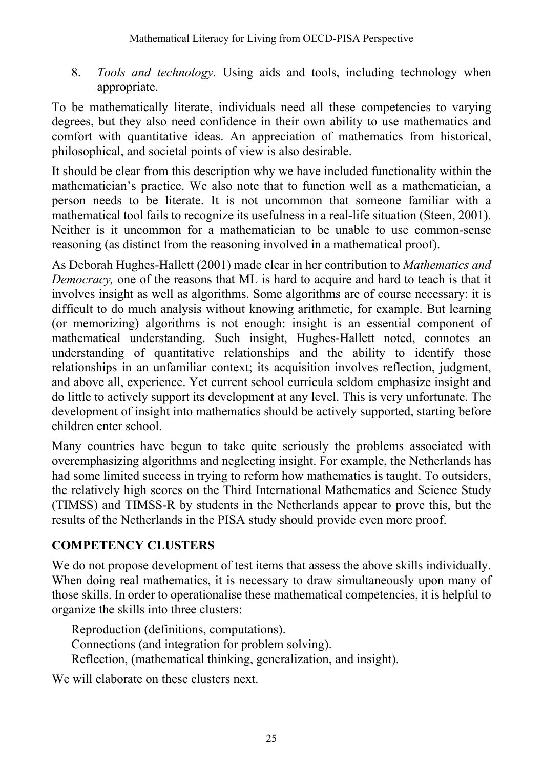8. *Tools and technology.* Using aids and tools, including technology when appropriate.

To be mathematically literate, individuals need all these competencies to varying degrees, but they also need confidence in their own ability to use mathematics and comfort with quantitative ideas. An appreciation of mathematics from historical, philosophical, and societal points of view is also desirable.

It should be clear from this description why we have included functionality within the mathematician's practice. We also note that to function well as a mathematician, a person needs to be literate. It is not uncommon that someone familiar with a mathematical tool fails to recognize its usefulness in a real-life situation (Steen, 2001). Neither is it uncommon for a mathematician to be unable to use common-sense reasoning (as distinct from the reasoning involved in a mathematical proof).

As Deborah Hughes-Hallett (2001) made clear in her contribution to *Mathematics and Democracy,* one of the reasons that ML is hard to acquire and hard to teach is that it involves insight as well as algorithms. Some algorithms are of course necessary: it is difficult to do much analysis without knowing arithmetic, for example. But learning (or memorizing) algorithms is not enough: insight is an essential component of mathematical understanding. Such insight, Hughes-Hallett noted, connotes an understanding of quantitative relationships and the ability to identify those relationships in an unfamiliar context; its acquisition involves reflection, judgment, and above all, experience. Yet current school curricula seldom emphasize insight and do little to actively support its development at any level. This is very unfortunate. The development of insight into mathematics should be actively supported, starting before children enter school.

Many countries have begun to take quite seriously the problems associated with overemphasizing algorithms and neglecting insight. For example, the Netherlands has had some limited success in trying to reform how mathematics is taught. To outsiders, the relatively high scores on the Third International Mathematics and Science Study (TIMSS) and TIMSS-R by students in the Netherlands appear to prove this, but the results of the Netherlands in the PISA study should provide even more proof.

## **COMPETENCY CLUSTERS**

We do not propose development of test items that assess the above skills individually. When doing real mathematics, it is necessary to draw simultaneously upon many of those skills. In order to operationalise these mathematical competencies, it is helpful to organize the skills into three clusters:

Reproduction (definitions, computations). Connections (and integration for problem solving). Reflection, (mathematical thinking, generalization, and insight).

We will elaborate on these clusters next.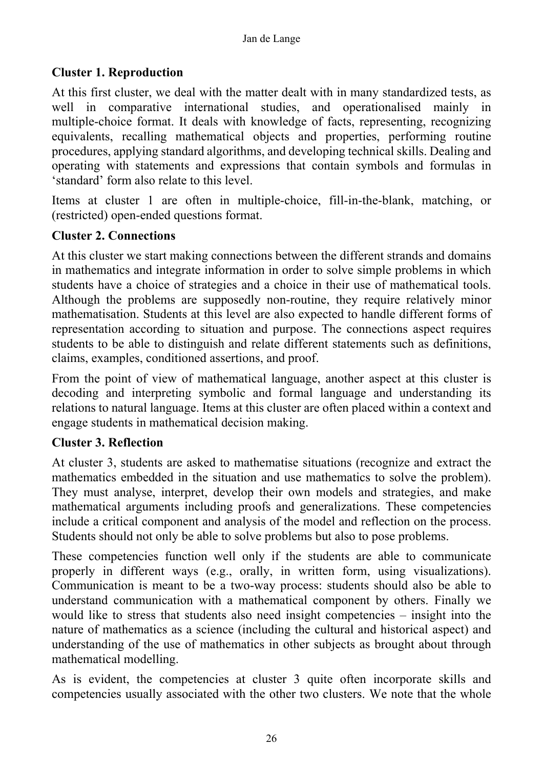### **Cluster 1. Reproduction**

At this first cluster, we deal with the matter dealt with in many standardized tests, as well in comparative international studies, and operationalised mainly in multiple-choice format. It deals with knowledge of facts, representing, recognizing equivalents, recalling mathematical objects and properties, performing routine procedures, applying standard algorithms, and developing technical skills. Dealing and operating with statements and expressions that contain symbols and formulas in 'standard' form also relate to this level.

Items at cluster 1 are often in multiple-choice, fill-in-the-blank, matching, or (restricted) open-ended questions format.

### **Cluster 2. Connections**

At this cluster we start making connections between the different strands and domains in mathematics and integrate information in order to solve simple problems in which students have a choice of strategies and a choice in their use of mathematical tools. Although the problems are supposedly non-routine, they require relatively minor mathematisation. Students at this level are also expected to handle different forms of representation according to situation and purpose. The connections aspect requires students to be able to distinguish and relate different statements such as definitions, claims, examples, conditioned assertions, and proof.

From the point of view of mathematical language, another aspect at this cluster is decoding and interpreting symbolic and formal language and understanding its relations to natural language. Items at this cluster are often placed within a context and engage students in mathematical decision making.

### **Cluster 3. Reflection**

At cluster 3, students are asked to mathematise situations (recognize and extract the mathematics embedded in the situation and use mathematics to solve the problem). They must analyse, interpret, develop their own models and strategies, and make mathematical arguments including proofs and generalizations. These competencies include a critical component and analysis of the model and reflection on the process. Students should not only be able to solve problems but also to pose problems.

These competencies function well only if the students are able to communicate properly in different ways (e.g., orally, in written form, using visualizations). Communication is meant to be a two-way process: students should also be able to understand communication with a mathematical component by others. Finally we would like to stress that students also need insight competencies – insight into the nature of mathematics as a science (including the cultural and historical aspect) and understanding of the use of mathematics in other subjects as brought about through mathematical modelling.

As is evident, the competencies at cluster 3 quite often incorporate skills and competencies usually associated with the other two clusters. We note that the whole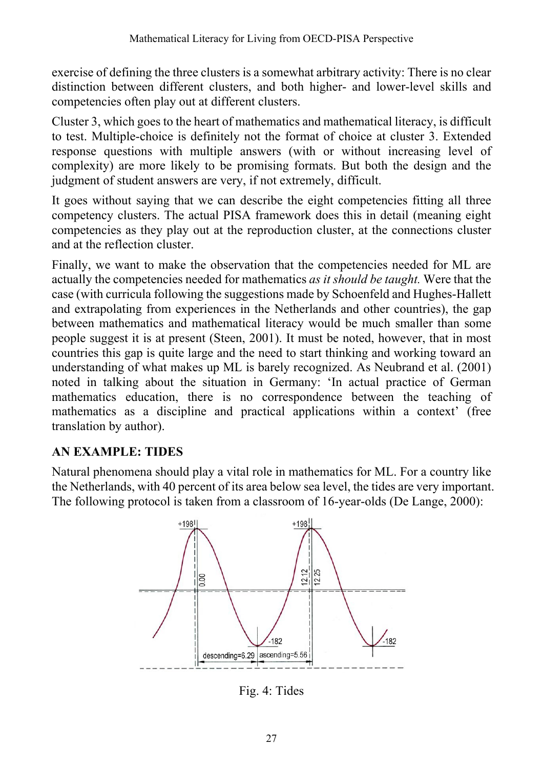exercise of defining the three clusters is a somewhat arbitrary activity: There is no clear distinction between different clusters, and both higher- and lower-level skills and competencies often play out at different clusters.

Cluster 3, which goes to the heart of mathematics and mathematical literacy, is difficult to test. Multiple-choice is definitely not the format of choice at cluster 3. Extended response questions with multiple answers (with or without increasing level of complexity) are more likely to be promising formats. But both the design and the judgment of student answers are very, if not extremely, difficult.

It goes without saying that we can describe the eight competencies fitting all three competency clusters. The actual PISA framework does this in detail (meaning eight competencies as they play out at the reproduction cluster, at the connections cluster and at the reflection cluster.

Finally, we want to make the observation that the competencies needed for ML are actually the competencies needed for mathematics *as it should be taught.* Were that the case (with curricula following the suggestions made by Schoenfeld and Hughes-Hallett and extrapolating from experiences in the Netherlands and other countries), the gap between mathematics and mathematical literacy would be much smaller than some people suggest it is at present (Steen, 2001). It must be noted, however, that in most countries this gap is quite large and the need to start thinking and working toward an understanding of what makes up ML is barely recognized. As Neubrand et al. (2001) noted in talking about the situation in Germany: 'In actual practice of German mathematics education, there is no correspondence between the teaching of mathematics as a discipline and practical applications within a context' (free translation by author).

### **AN EXAMPLE: TIDES**

Natural phenomena should play a vital role in mathematics for ML. For a country like the Netherlands, with 40 percent of its area below sea level, the tides are very important. The following protocol is taken from a classroom of 16-year-olds (De Lange, 2000):



Fig. 4: Tides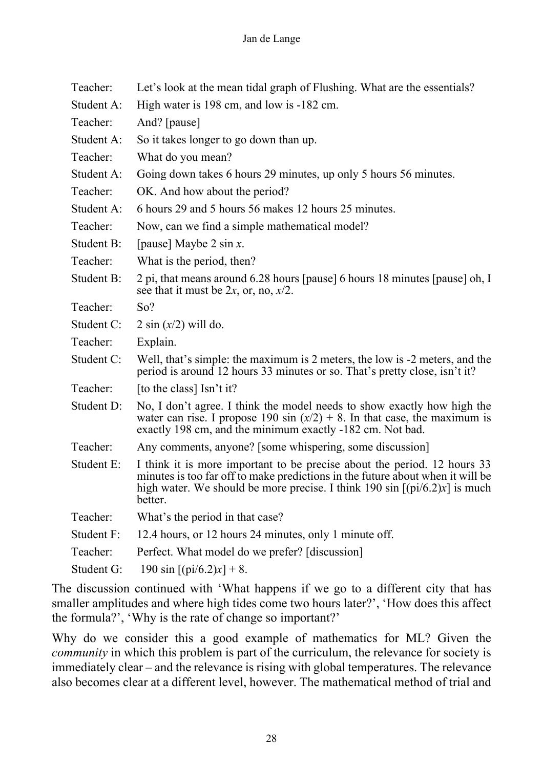| Teacher:   | Let's look at the mean tidal graph of Flushing. What are the essentials?                                                                                                                                                                              |
|------------|-------------------------------------------------------------------------------------------------------------------------------------------------------------------------------------------------------------------------------------------------------|
| Student A: | High water is 198 cm, and low is -182 cm.                                                                                                                                                                                                             |
| Teacher:   | And? [pause]                                                                                                                                                                                                                                          |
| Student A: | So it takes longer to go down than up.                                                                                                                                                                                                                |
| Teacher:   | What do you mean?                                                                                                                                                                                                                                     |
| Student A: | Going down takes 6 hours 29 minutes, up only 5 hours 56 minutes.                                                                                                                                                                                      |
| Teacher:   | OK. And how about the period?                                                                                                                                                                                                                         |
| Student A: | 6 hours 29 and 5 hours 56 makes 12 hours 25 minutes.                                                                                                                                                                                                  |
| Teacher:   | Now, can we find a simple mathematical model?                                                                                                                                                                                                         |
| Student B: | [pause] Maybe 2 sin x.                                                                                                                                                                                                                                |
| Teacher:   | What is the period, then?                                                                                                                                                                                                                             |
| Student B: | 2 pi, that means around 6.28 hours [pause] 6 hours 18 minutes [pause] oh, I<br>see that it must be $2x$ , or, no, $x/2$ .                                                                                                                             |
| Teacher:   | So?                                                                                                                                                                                                                                                   |
| Student C: | $2 \sin(x/2)$ will do.                                                                                                                                                                                                                                |
| Teacher:   | Explain.                                                                                                                                                                                                                                              |
| Student C: | Well, that's simple: the maximum is 2 meters, the low is -2 meters, and the<br>period is around 12 hours 33 minutes or so. That's pretty close, isn't it?                                                                                             |
| Teacher:   | [to the class] Isn't it?                                                                                                                                                                                                                              |
| Student D: | No, I don't agree. I think the model needs to show exactly how high the<br>water can rise. I propose 190 sin $(x/2) + 8$ . In that case, the maximum is<br>exactly 198 cm, and the minimum exactly -182 cm. Not bad.                                  |
| Teacher:   | Any comments, anyone? [some whispering, some discussion]                                                                                                                                                                                              |
| Student E: | I think it is more important to be precise about the period. 12 hours 33<br>minutes is too far off to make predictions in the future about when it will be<br>high water. We should be more precise. I think 190 sin $[(pi/6.2)x]$ is much<br>better. |
| Teacher:   | What's the period in that case?                                                                                                                                                                                                                       |
| Student F: | 12.4 hours, or 12 hours 24 minutes, only 1 minute off.                                                                                                                                                                                                |
| Teacher:   | Perfect. What model do we prefer? [discussion]                                                                                                                                                                                                        |
| Student G: | 190 sin [(pi/6.2)x] + 8.                                                                                                                                                                                                                              |

The discussion continued with 'What happens if we go to a different city that has smaller amplitudes and where high tides come two hours later?', 'How does this affect the formula?', 'Why is the rate of change so important?'

Why do we consider this a good example of mathematics for ML? Given the *community* in which this problem is part of the curriculum, the relevance for society is immediately clear – and the relevance is rising with global temperatures. The relevance also becomes clear at a different level, however. The mathematical method of trial and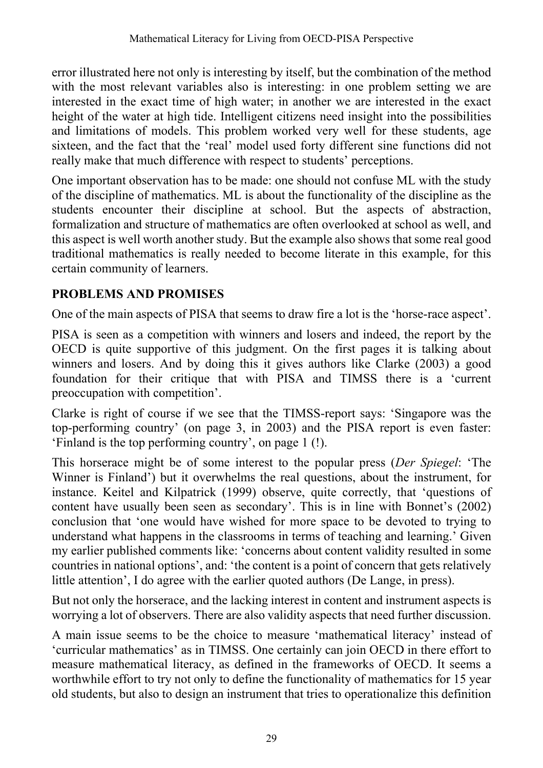error illustrated here not only is interesting by itself, but the combination of the method with the most relevant variables also is interesting: in one problem setting we are interested in the exact time of high water; in another we are interested in the exact height of the water at high tide. Intelligent citizens need insight into the possibilities and limitations of models. This problem worked very well for these students, age sixteen, and the fact that the 'real' model used forty different sine functions did not really make that much difference with respect to students' perceptions.

One important observation has to be made: one should not confuse ML with the study of the discipline of mathematics. ML is about the functionality of the discipline as the students encounter their discipline at school. But the aspects of abstraction, formalization and structure of mathematics are often overlooked at school as well, and this aspect is well worth another study. But the example also shows that some real good traditional mathematics is really needed to become literate in this example, for this certain community of learners.

## **PROBLEMS AND PROMISES**

One of the main aspects of PISA that seems to draw fire a lot is the 'horse-race aspect'.

PISA is seen as a competition with winners and losers and indeed, the report by the OECD is quite supportive of this judgment. On the first pages it is talking about winners and losers. And by doing this it gives authors like Clarke (2003) a good foundation for their critique that with PISA and TIMSS there is a 'current preoccupation with competition'.

Clarke is right of course if we see that the TIMSS-report says: 'Singapore was the top-performing country' (on page 3, in 2003) and the PISA report is even faster: 'Finland is the top performing country', on page 1 (!).

This horserace might be of some interest to the popular press (*Der Spiegel*: 'The Winner is Finland') but it overwhelms the real questions, about the instrument, for instance. Keitel and Kilpatrick (1999) observe, quite correctly, that 'questions of content have usually been seen as secondary'. This is in line with Bonnet's (2002) conclusion that 'one would have wished for more space to be devoted to trying to understand what happens in the classrooms in terms of teaching and learning.' Given my earlier published comments like: 'concerns about content validity resulted in some countries in national options', and: 'the content is a point of concern that gets relatively little attention', I do agree with the earlier quoted authors (De Lange, in press).

But not only the horserace, and the lacking interest in content and instrument aspects is worrying a lot of observers. There are also validity aspects that need further discussion.

A main issue seems to be the choice to measure 'mathematical literacy' instead of 'curricular mathematics' as in TIMSS. One certainly can join OECD in there effort to measure mathematical literacy, as defined in the frameworks of OECD. It seems a worthwhile effort to try not only to define the functionality of mathematics for 15 year old students, but also to design an instrument that tries to operationalize this definition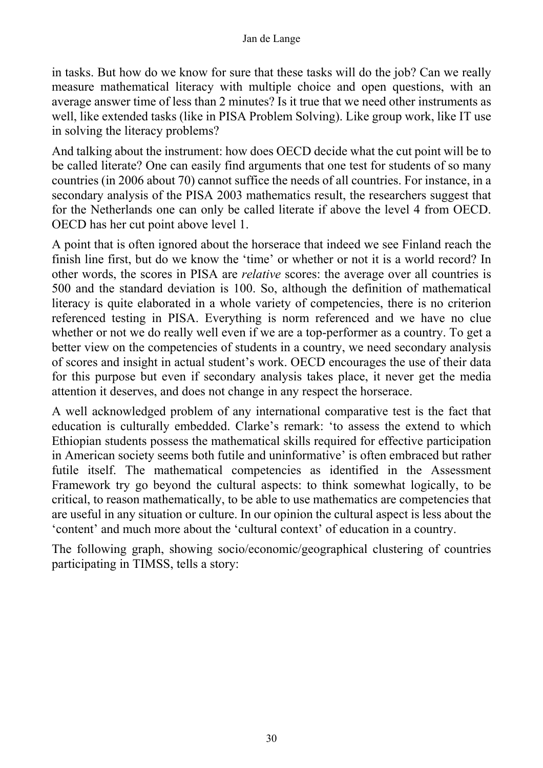in tasks. But how do we know for sure that these tasks will do the job? Can we really measure mathematical literacy with multiple choice and open questions, with an average answer time of less than 2 minutes? Is it true that we need other instruments as well, like extended tasks (like in PISA Problem Solving). Like group work, like IT use in solving the literacy problems?

And talking about the instrument: how does OECD decide what the cut point will be to be called literate? One can easily find arguments that one test for students of so many countries (in 2006 about 70) cannot suffice the needs of all countries. For instance, in a secondary analysis of the PISA 2003 mathematics result, the researchers suggest that for the Netherlands one can only be called literate if above the level 4 from OECD. OECD has her cut point above level 1.

A point that is often ignored about the horserace that indeed we see Finland reach the finish line first, but do we know the 'time' or whether or not it is a world record? In other words, the scores in PISA are *relative* scores: the average over all countries is 500 and the standard deviation is 100. So, although the definition of mathematical literacy is quite elaborated in a whole variety of competencies, there is no criterion referenced testing in PISA. Everything is norm referenced and we have no clue whether or not we do really well even if we are a top-performer as a country. To get a better view on the competencies of students in a country, we need secondary analysis of scores and insight in actual student's work. OECD encourages the use of their data for this purpose but even if secondary analysis takes place, it never get the media attention it deserves, and does not change in any respect the horserace.

A well acknowledged problem of any international comparative test is the fact that education is culturally embedded. Clarke's remark: 'to assess the extend to which Ethiopian students possess the mathematical skills required for effective participation in American society seems both futile and uninformative' is often embraced but rather futile itself. The mathematical competencies as identified in the Assessment Framework try go beyond the cultural aspects: to think somewhat logically, to be critical, to reason mathematically, to be able to use mathematics are competencies that are useful in any situation or culture. In our opinion the cultural aspect is less about the 'content' and much more about the 'cultural context' of education in a country.

The following graph, showing socio/economic/geographical clustering of countries participating in TIMSS, tells a story: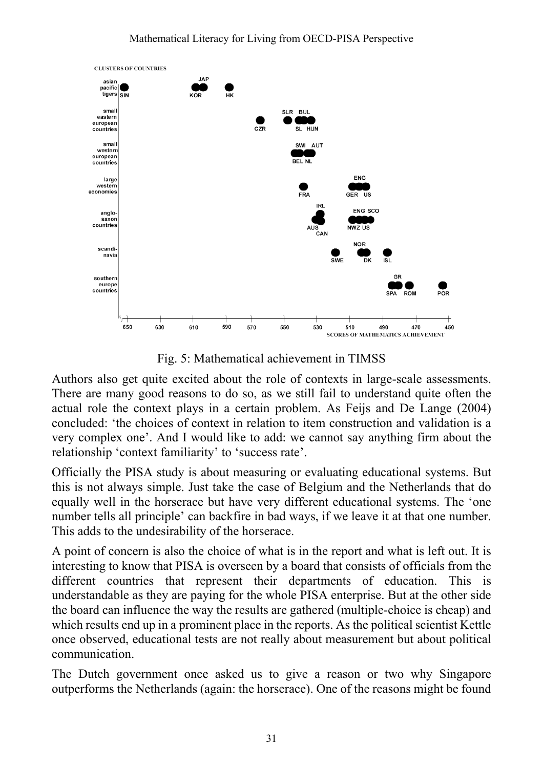

Fig. 5: Mathematical achievement in TIMSS

Authors also get quite excited about the role of contexts in large-scale assessments. There are many good reasons to do so, as we still fail to understand quite often the actual role the context plays in a certain problem. As Feijs and De Lange (2004) concluded: 'the choices of context in relation to item construction and validation is a very complex one'. And I would like to add: we cannot say anything firm about the relationship 'context familiarity' to 'success rate'.

Officially the PISA study is about measuring or evaluating educational systems. But this is not always simple. Just take the case of Belgium and the Netherlands that do equally well in the horserace but have very different educational systems. The 'one number tells all principle' can backfire in bad ways, if we leave it at that one number. This adds to the undesirability of the horserace.

A point of concern is also the choice of what is in the report and what is left out. It is interesting to know that PISA is overseen by a board that consists of officials from the different countries that represent their departments of education. This is understandable as they are paying for the whole PISA enterprise. But at the other side the board can influence the way the results are gathered (multiple-choice is cheap) and which results end up in a prominent place in the reports. As the political scientist Kettle once observed, educational tests are not really about measurement but about political communication.

The Dutch government once asked us to give a reason or two why Singapore outperforms the Netherlands (again: the horserace). One of the reasons might be found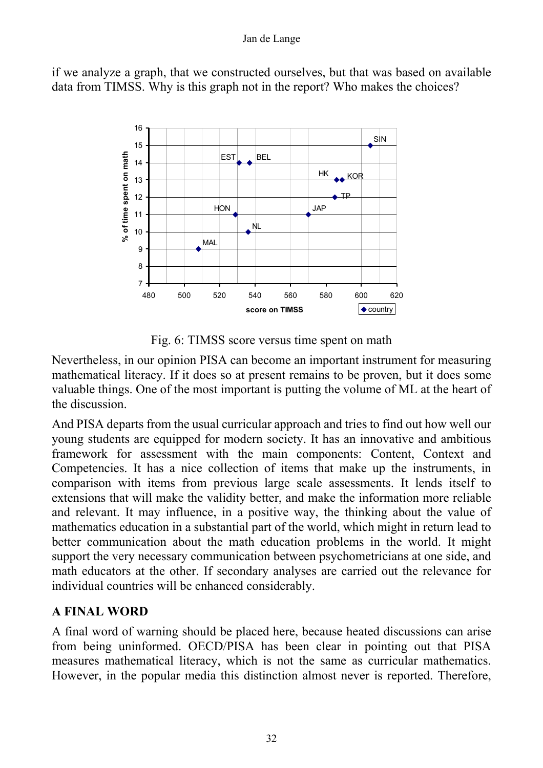if we analyze a graph, that we constructed ourselves, but that was based on available data from TIMSS. Why is this graph not in the report? Who makes the choices?



Fig. 6: TIMSS score versus time spent on math

Nevertheless, in our opinion PISA can become an important instrument for measuring mathematical literacy. If it does so at present remains to be proven, but it does some valuable things. One of the most important is putting the volume of ML at the heart of the discussion.

And PISA departs from the usual curricular approach and tries to find out how well our young students are equipped for modern society. It has an innovative and ambitious framework for assessment with the main components: Content, Context and Competencies. It has a nice collection of items that make up the instruments, in comparison with items from previous large scale assessments. It lends itself to extensions that will make the validity better, and make the information more reliable and relevant. It may influence, in a positive way, the thinking about the value of mathematics education in a substantial part of the world, which might in return lead to better communication about the math education problems in the world. It might support the very necessary communication between psychometricians at one side, and math educators at the other. If secondary analyses are carried out the relevance for individual countries will be enhanced considerably.

# **A FINAL WORD**

A final word of warning should be placed here, because heated discussions can arise from being uninformed. OECD/PISA has been clear in pointing out that PISA measures mathematical literacy, which is not the same as curricular mathematics. However, in the popular media this distinction almost never is reported. Therefore,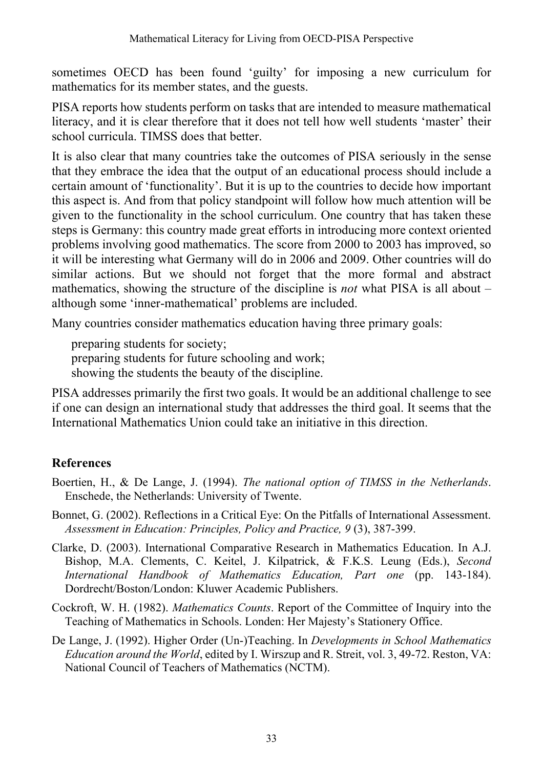sometimes OECD has been found 'guilty' for imposing a new curriculum for mathematics for its member states, and the guests.

PISA reports how students perform on tasks that are intended to measure mathematical literacy, and it is clear therefore that it does not tell how well students 'master' their school curricula. TIMSS does that better.

It is also clear that many countries take the outcomes of PISA seriously in the sense that they embrace the idea that the output of an educational process should include a certain amount of 'functionality'. But it is up to the countries to decide how important this aspect is. And from that policy standpoint will follow how much attention will be given to the functionality in the school curriculum. One country that has taken these steps is Germany: this country made great efforts in introducing more context oriented problems involving good mathematics. The score from 2000 to 2003 has improved, so it will be interesting what Germany will do in 2006 and 2009. Other countries will do similar actions. But we should not forget that the more formal and abstract mathematics, showing the structure of the discipline is *not* what PISA is all about – although some 'inner-mathematical' problems are included.

Many countries consider mathematics education having three primary goals:

preparing students for society;

preparing students for future schooling and work;

showing the students the beauty of the discipline.

PISA addresses primarily the first two goals. It would be an additional challenge to see if one can design an international study that addresses the third goal. It seems that the International Mathematics Union could take an initiative in this direction.

# **References**

- Boertien, H., & De Lange, J. (1994). *The national option of TIMSS in the Netherlands*. Enschede, the Netherlands: University of Twente.
- Bonnet, G. (2002). Reflections in a Critical Eye: On the Pitfalls of International Assessment. *Assessment in Education: Principles, Policy and Practice, 9* (3), 387-399.
- Clarke, D. (2003). International Comparative Research in Mathematics Education. In A.J. Bishop, M.A. Clements, C. Keitel, J. Kilpatrick, & F.K.S. Leung (Eds.), *Second International Handbook of Mathematics Education, Part one* (pp. 143-184). Dordrecht/Boston/London: Kluwer Academic Publishers.
- Cockroft, W. H. (1982). *Mathematics Counts*. Report of the Committee of Inquiry into the Teaching of Mathematics in Schools. Londen: Her Majesty's Stationery Office.
- De Lange, J. (1992). Higher Order (Un-)Teaching. In *Developments in School Mathematics Education around the World*, edited by I. Wirszup and R. Streit, vol. 3, 49-72. Reston, VA: National Council of Teachers of Mathematics (NCTM).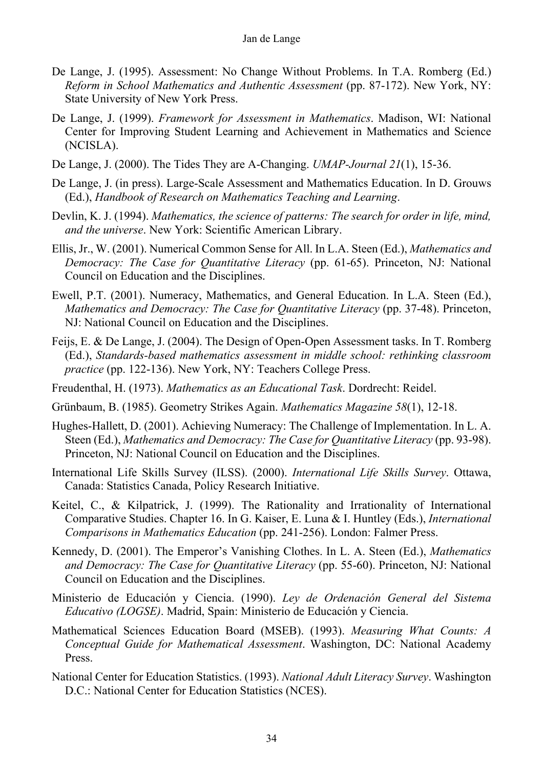- De Lange, J. (1995). Assessment: No Change Without Problems. In T.A. Romberg (Ed.) *Reform in School Mathematics and Authentic Assessment* (pp. 87-172). New York, NY: State University of New York Press.
- De Lange, J. (1999). *Framework for Assessment in Mathematics*. Madison, WI: National Center for Improving Student Learning and Achievement in Mathematics and Science (NCISLA).
- De Lange, J. (2000). The Tides They are A-Changing. *UMAP-Journal 21*(1), 15-36.
- De Lange, J. (in press). Large-Scale Assessment and Mathematics Education. In D. Grouws (Ed.), *Handbook of Research on Mathematics Teaching and Learning*.
- Devlin, K. J. (1994). *Mathematics, the science of patterns: The search for order in life, mind, and the universe*. New York: Scientific American Library.
- Ellis, Jr., W. (2001). Numerical Common Sense for All. In L.A. Steen (Ed.), *Mathematics and Democracy: The Case for Quantitative Literacy* (pp. 61-65). Princeton, NJ: National Council on Education and the Disciplines.
- Ewell, P.T. (2001). Numeracy, Mathematics, and General Education. In L.A. Steen (Ed.), *Mathematics and Democracy: The Case for Quantitative Literacy* (pp. 37-48). Princeton, NJ: National Council on Education and the Disciplines.
- Feijs, E. & De Lange, J. (2004). The Design of Open-Open Assessment tasks. In T. Romberg (Ed.), *Standards-based mathematics assessment in middle school: rethinking classroom practice* (pp. 122-136). New York, NY: Teachers College Press.
- Freudenthal, H. (1973). *Mathematics as an Educational Task*. Dordrecht: Reidel.
- Grünbaum, B. (1985). Geometry Strikes Again. *Mathematics Magazine 58*(1), 12-18.
- Hughes-Hallett, D. (2001). Achieving Numeracy: The Challenge of Implementation. In L. A. Steen (Ed.), *Mathematics and Democracy: The Case for Quantitative Literacy* (pp. 93-98). Princeton, NJ: National Council on Education and the Disciplines.
- International Life Skills Survey (ILSS). (2000). *International Life Skills Survey*. Ottawa, Canada: Statistics Canada, Policy Research Initiative.
- Keitel, C., & Kilpatrick, J. (1999). The Rationality and Irrationality of International Comparative Studies. Chapter 16. In G. Kaiser, E. Luna & I. Huntley (Eds.), *International Comparisons in Mathematics Education* (pp. 241-256). London: Falmer Press.
- Kennedy, D. (2001). The Emperor's Vanishing Clothes. In L. A. Steen (Ed.), *Mathematics and Democracy: The Case for Quantitative Literacy* (pp. 55-60). Princeton, NJ: National Council on Education and the Disciplines.
- Ministerio de Educación y Ciencia. (1990). *Ley de Ordenación General del Sistema Educativo (LOGSE)*. Madrid, Spain: Ministerio de Educación y Ciencia.
- Mathematical Sciences Education Board (MSEB). (1993). *Measuring What Counts: A Conceptual Guide for Mathematical Assessment*. Washington, DC: National Academy Press.
- National Center for Education Statistics. (1993). *National Adult Literacy Survey*. Washington D.C.: National Center for Education Statistics (NCES).